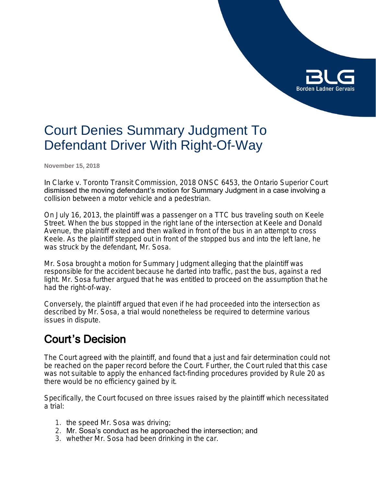

# Court Denies Summary Judgment To Defendant Driver With Right-Of-Way

**November 15, 2018**

In *Clarke v. Toronto Transit Commission*, 2018 ONSC 6453, the Ontario Superior Court dismissed the moving defendant's motion for Summary Judgment in a case involving a collision between a motor vehicle and a pedestrian.

On July 16, 2013, the plaintiff was a passenger on a TTC bus traveling south on Keele Street. When the bus stopped in the right lane of the intersection at Keele and Donald Avenue, the plaintiff exited and then walked in front of the bus in an attempt to cross Keele. As the plaintiff stepped out in front of the stopped bus and into the left lane, he was struck by the defendant, Mr. Sosa.

Mr. Sosa brought a motion for Summary Judgment alleging that the plaintiff was responsible for the accident because he darted into traffic, past the bus, against a red light. Mr. Sosa further argued that he was entitled to proceed on the assumption that he had the right-of-way.

Conversely, the plaintiff argued that even if he had proceeded into the intersection as described by Mr. Sosa, a trial would nonetheless be required to determine various issues in dispute.

### Court's Decision

The Court agreed with the plaintiff, and found that a just and fair determination could not be reached on the paper record before the Court. Further, the Court ruled that this case was not suitable to apply the enhanced fact-finding procedures provided by Rule 20 as there would be no efficiency gained by it.

Specifically, the Court focused on three issues raised by the plaintiff which necessitated a trial:

- 1. the speed Mr. Sosa was driving;
- 2. Mr. Sosa's conduct as he approached the intersection; and
- 3. whether Mr. Sosa had been drinking in the car.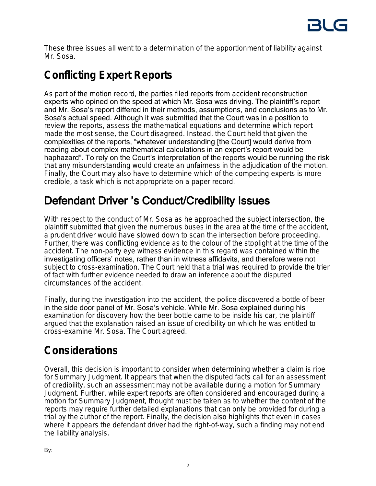These three issues all went to a determination of the apportionment of liability against Mr. Sosa.

## **Conflicting Expert Reports**

As part of the motion record, the parties filed reports from accident reconstruction experts who opined on the speed at which Mr. Sosa was driving. The plaintiff's report and Mr. Sosa's report differed in their methods, assumptions, and conclusions as to Mr. Sosa's actual speed. Although it was submitted that the Court was in a position to review the reports, assess the mathematical equations and determine which report made the most sense, the Court disagreed. Instead, the Court held that given the complexities of the reports, "whatever understanding [the Court] would derive from reading about complex mathematical calculations in an expert's report would be haphazard". To rely on the Court's interpretation of the reports would be running the risk that any misunderstanding would create an unfairness in the adjudication of the motion. Finally, the Court may also have to determine which of the competing experts is more credible, a task which is not appropriate on a paper record.

## Defendant Driver 's Conduct/Credibility Issues

With respect to the conduct of Mr. Sosa as he approached the subject intersection, the plaintiff submitted that given the numerous buses in the area at the time of the accident, a prudent driver would have slowed down to scan the intersection before proceeding. Further, there was conflicting evidence as to the colour of the stoplight at the time of the accident. The non-party eye witness evidence in this regard was contained within the investigating officers' notes, rather than in witness affidavits, and therefore were not subject to cross-examination. The Court held that a trial was required to provide the trier of fact with further evidence needed to draw an inference about the disputed circumstances of the accident.

Finally, during the investigation into the accident, the police discovered a bottle of beer in the side door panel of Mr. Sosa's vehicle. While Mr. Sosa explained during his examination for discovery how the beer bottle came to be inside his car, the plaintiff argued that the explanation raised an issue of credibility on which he was entitled to cross-examine Mr. Sosa. The Court agreed.

### **Considerations**

Overall, this decision is important to consider when determining whether a claim is ripe for Summary Judgment. It appears that when the disputed facts call for an assessment of credibility, such an assessment may not be available during a motion for Summary Judgment. Further, while expert reports are often considered and encouraged during a motion for Summary Judgment, thought must be taken as to whether the content of the reports may require further detailed explanations that can only be provided for during a trial by the author of the report. Finally, the decision also highlights that even in cases where it appears the defendant driver had the right-of-way, such a finding may not end the liability analysis.